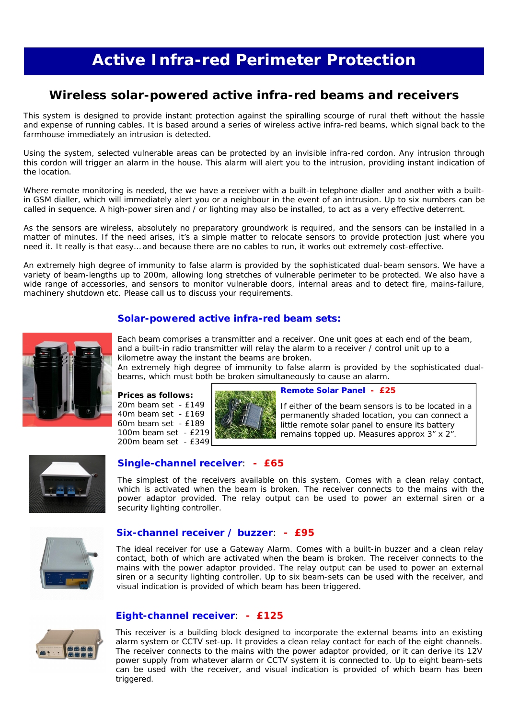# **Active Infra-red Perimeter Protection**

# **Wireless solar-powered active infra-red beams and receivers**

This system is designed to provide instant protection against the spiralling scourge of rural theft without the hassle and expense of running cables. It is based around a series of wireless active infra-red beams, which signal back to the farmhouse immediately an intrusion is detected.

Using the system, selected vulnerable areas can be protected by an invisible infra-red cordon. Any intrusion through this cordon will trigger an alarm in the house. This alarm will alert you to the intrusion, providing instant indication of the location.

Where remote monitoring is needed, the we have a receiver with a built-in telephone dialler and another with a builtin GSM dialler, which will immediately alert you or a neighbour in the event of an intrusion. Up to six numbers can be called in sequence. A high-power siren and / or lighting may also be installed, to act as a very effective deterrent.

As the sensors are wireless, absolutely no preparatory groundwork is required, and the sensors can be installed in a matter of minutes. If the need arises, it's a simple matter to relocate sensors to provide protection just where you need it. It really is that easy… and because there are no cables to run, it works out extremely cost-effective.

An extremely high degree of immunity to false alarm is provided by the sophisticated dual-beam sensors. We have a variety of beam-lengths up to 200m, allowing long stretches of vulnerable perimeter to be protected. We also have a wide range of accessories, and sensors to monitor vulnerable doors, internal areas and to detect fire, mains-failure, machinery shutdown etc. Please call us to discuss your requirements.

# **Solar-powered active infra-red beam sets:**



Each beam comprises a transmitter and a receiver. One unit goes at each end of the beam, and a built-in radio transmitter will relay the alarm to a receiver / control unit up to a kilometre away the instant the beams are broken.

An extremely high degree of immunity to false alarm is provided by the sophisticated dualbeams, which must both be broken simultaneously to cause an alarm.





#### **Remote Solar Panel - £25**

If either of the beam sensors is to be located in a permanently shaded location, you can connect a little remote solar panel to ensure its battery remains topped up. Measures approx 3" x 2".



# **Single-channel receiver**: **- £65**

The simplest of the receivers available on this system. Comes with a clean relay contact, which is activated when the beam is broken. The receiver connects to the mains with the power adaptor provided. The relay output can be used to power an external siren or a security lighting controller.



#### **Six-channel receiver / buzzer**: **- £95**

The ideal receiver for use a Gateway Alarm. Comes with a built-in buzzer and a clean relay contact, both of which are activated when the beam is broken. The receiver connects to the mains with the power adaptor provided. The relay output can be used to power an external siren or a security lighting controller. Up to six beam-sets can be used with the receiver, and visual indication is provided of which beam has been triggered.



#### **Eight-channel receiver**: **- £125**

This receiver is a building block designed to incorporate the external beams into an existing alarm system or CCTV set-up. It provides a clean relay contact for each of the eight channels. The receiver connects to the mains with the power adaptor provided, or it can derive its 12V power supply from whatever alarm or CCTV system it is connected to. Up to eight beam-sets can be used with the receiver, and visual indication is provided of which beam has been triggered.